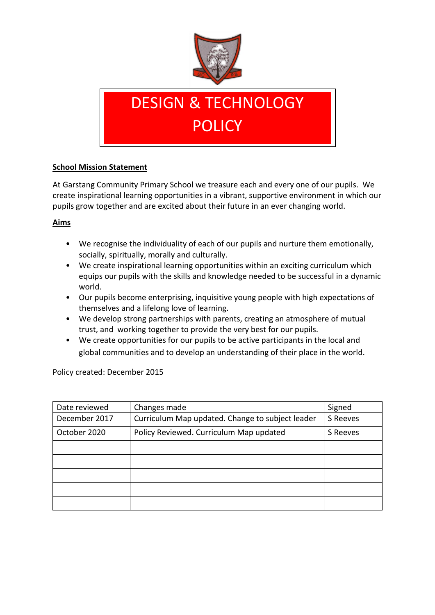

# DESIGN & TECHNOLOGY **POLICY**

#### **School Mission Statement**

At Garstang Community Primary School we treasure each and every one of our pupils. We create inspirational learning opportunities in a vibrant, supportive environment in which our pupils grow together and are excited about their future in an ever changing world.

#### **Aims**

- We recognise the individuality of each of our pupils and nurture them emotionally, socially, spiritually, morally and culturally.
- We create inspirational learning opportunities within an exciting curriculum which equips our pupils with the skills and knowledge needed to be successful in a dynamic world.
- Our pupils become enterprising, inquisitive young people with high expectations of themselves and a lifelong love of learning.
- We develop strong partnerships with parents, creating an atmosphere of mutual trust, and working together to provide the very best for our pupils.
- We create opportunities for our pupils to be active participants in the local and global communities and to develop an understanding of their place in the world.

Policy created: December 2015

| Date reviewed | Changes made                                     | Signed   |
|---------------|--------------------------------------------------|----------|
| December 2017 | Curriculum Map updated. Change to subject leader | S Reeves |
| October 2020  | Policy Reviewed. Curriculum Map updated          | S Reeves |
|               |                                                  |          |
|               |                                                  |          |
|               |                                                  |          |
|               |                                                  |          |
|               |                                                  |          |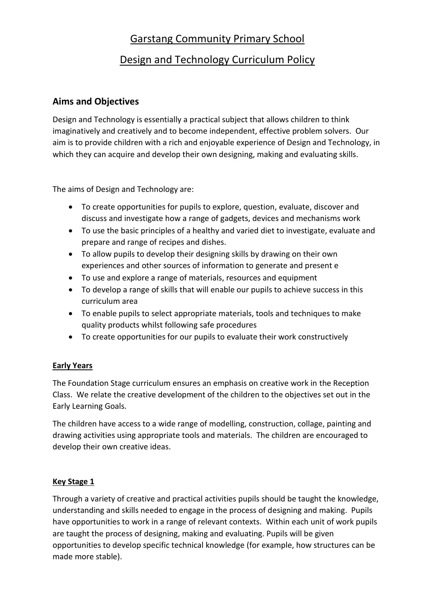## Garstang Community Primary School

## Design and Technology Curriculum Policy

### **Aims and Objectives**

Design and Technology is essentially a practical subject that allows children to think imaginatively and creatively and to become independent, effective problem solvers. Our aim is to provide children with a rich and enjoyable experience of Design and Technology, in which they can acquire and develop their own designing, making and evaluating skills.

The aims of Design and Technology are:

- To create opportunities for pupils to explore, question, evaluate, discover and discuss and investigate how a range of gadgets, devices and mechanisms work
- To use the basic principles of a healthy and varied diet to investigate, evaluate and prepare and range of recipes and dishes.
- To allow pupils to develop their designing skills by drawing on their own experiences and other sources of information to generate and present e
- To use and explore a range of materials, resources and equipment
- To develop a range of skills that will enable our pupils to achieve success in this curriculum area
- To enable pupils to select appropriate materials, tools and techniques to make quality products whilst following safe procedures
- To create opportunities for our pupils to evaluate their work constructively

#### **Early Years**

The Foundation Stage curriculum ensures an emphasis on creative work in the Reception Class. We relate the creative development of the children to the objectives set out in the Early Learning Goals.

The children have access to a wide range of modelling, construction, collage, painting and drawing activities using appropriate tools and materials. The children are encouraged to develop their own creative ideas.

#### **Key Stage 1**

Through a variety of creative and practical activities pupils should be taught the knowledge, understanding and skills needed to engage in the process of designing and making. Pupils have opportunities to work in a range of relevant contexts. Within each unit of work pupils are taught the process of designing, making and evaluating. Pupils will be given opportunities to develop specific technical knowledge (for example, how structures can be made more stable).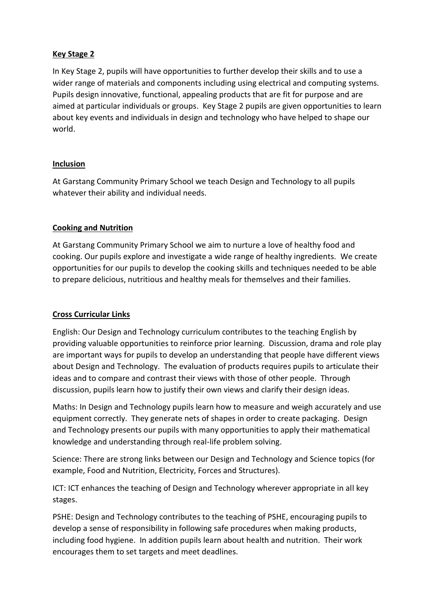#### **Key Stage 2**

In Key Stage 2, pupils will have opportunities to further develop their skills and to use a wider range of materials and components including using electrical and computing systems. Pupils design innovative, functional, appealing products that are fit for purpose and are aimed at particular individuals or groups. Key Stage 2 pupils are given opportunities to learn about key events and individuals in design and technology who have helped to shape our world.

#### **Inclusion**

At Garstang Community Primary School we teach Design and Technology to all pupils whatever their ability and individual needs.

#### **Cooking and Nutrition**

At Garstang Community Primary School we aim to nurture a love of healthy food and cooking. Our pupils explore and investigate a wide range of healthy ingredients. We create opportunities for our pupils to develop the cooking skills and techniques needed to be able to prepare delicious, nutritious and healthy meals for themselves and their families.

#### **Cross Curricular Links**

English: Our Design and Technology curriculum contributes to the teaching English by providing valuable opportunities to reinforce prior learning. Discussion, drama and role play are important ways for pupils to develop an understanding that people have different views about Design and Technology. The evaluation of products requires pupils to articulate their ideas and to compare and contrast their views with those of other people. Through discussion, pupils learn how to justify their own views and clarify their design ideas.

Maths: In Design and Technology pupils learn how to measure and weigh accurately and use equipment correctly. They generate nets of shapes in order to create packaging. Design and Technology presents our pupils with many opportunities to apply their mathematical knowledge and understanding through real-life problem solving.

Science: There are strong links between our Design and Technology and Science topics (for example, Food and Nutrition, Electricity, Forces and Structures).

ICT: ICT enhances the teaching of Design and Technology wherever appropriate in all key stages.

PSHE: Design and Technology contributes to the teaching of PSHE, encouraging pupils to develop a sense of responsibility in following safe procedures when making products, including food hygiene. In addition pupils learn about health and nutrition. Their work encourages them to set targets and meet deadlines.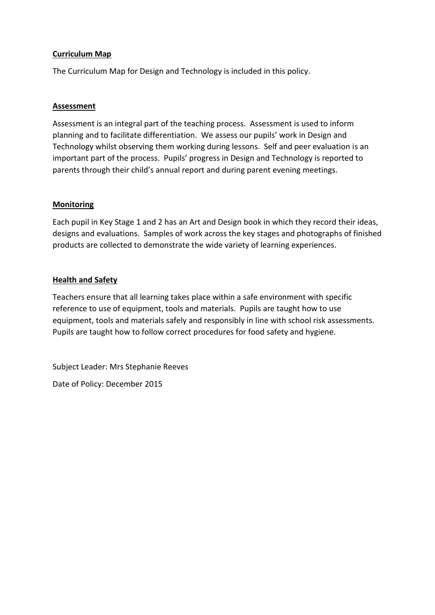#### **Curriculum Map**

The Curriculum Map for Design and Technology is included in this policy.

#### **Assessment**

Assessment is an integral part of the teaching process. Assessment is used to inform planning and to facilitate differentiation. We assess our pupils' work in Design and Technology whilst observing them working during lessons. Self and peer evaluation is an important part of the process. Pupils' progress in Design and Technology is reported to parents through their child's annual report and during parent evening meetings.

#### **Monitoring**

Each pupil in Key Stage 1 and 2 has an Art and Design book in which they record their ideas, designs and evaluations. Samples of work across the key stages and photographs of finished products are collected to demonstrate the wide variety of learning experiences.

#### **Health and Safety**

Teachers ensure that all learning takes place within a safe environment with specific reference to use of equipment, tools and materials. Pupils are taught how to use equipment, tools and materials safely and responsibly in line with school risk assessments. Pupils are taught how to follow correct procedures for food safety and hygiene.

Subject Leader: Mrs Stephanie Reeves

Date of Policy: December 2015